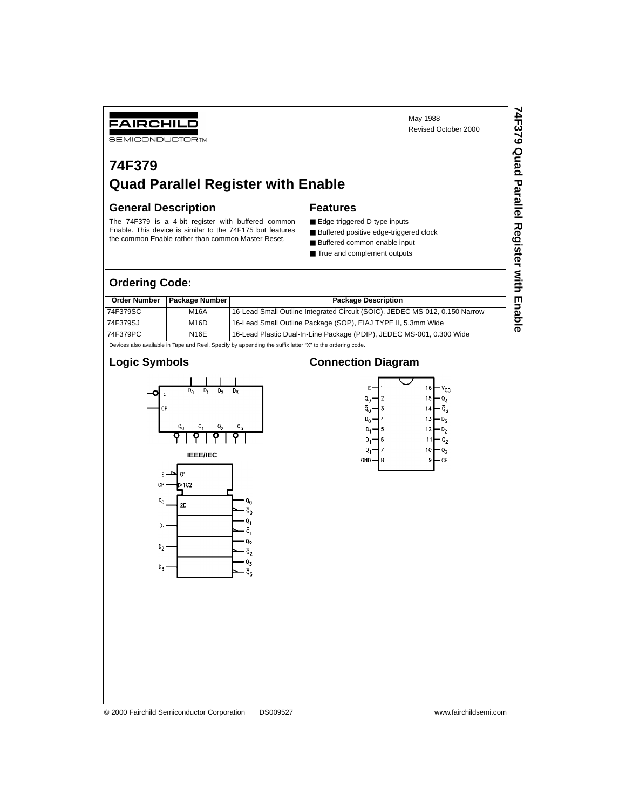May 1988 Revised October 2000

# **74F379 Quad Parallel Register with Enable**

#### **General Description**

FAIRCHILD **SEMICONDUCTOR TM** 

The 74F379 is a 4-bit register with buffered common Enable. This device is similar to the 74F175 but features the common Enable rather than common Master Reset.

#### **Features**

- Edge triggered D-type inputs
- Buffered positive edge-triggered clock
- Buffered common enable input
- True and complement outputs

### **Ordering Code:**

| <b>Package Number</b><br><b>Order Number</b><br><b>Package Description</b>                               |      |                                                                             |  |  |  |  |
|----------------------------------------------------------------------------------------------------------|------|-----------------------------------------------------------------------------|--|--|--|--|
| 74F379SC                                                                                                 | M16A | 16-Lead Small Outline Integrated Circuit (SOIC), JEDEC MS-012, 0.150 Narrow |  |  |  |  |
| 74F379SJ                                                                                                 | M16D | 16-Lead Small Outline Package (SOP), EIAJ TYPE II, 5.3mm Wide               |  |  |  |  |
| 74F379PC                                                                                                 | N16E | 16-Lead Plastic Dual-In-Line Package (PDIP), JEDEC MS-001, 0.300 Wide       |  |  |  |  |
| Devices also available in Tane and Reel. Specify by appending the suffix letter "X" to the ordering code |      |                                                                             |  |  |  |  |

#### Devices also available in Tape and Reel. Specify by appending the suffix letter "X" to the ordering code.

#### **Logic Symbols**



#### **Connection Diagram**



© 2000 Fairchild Semiconductor Corporation DS009527 www.fairchildsemi.com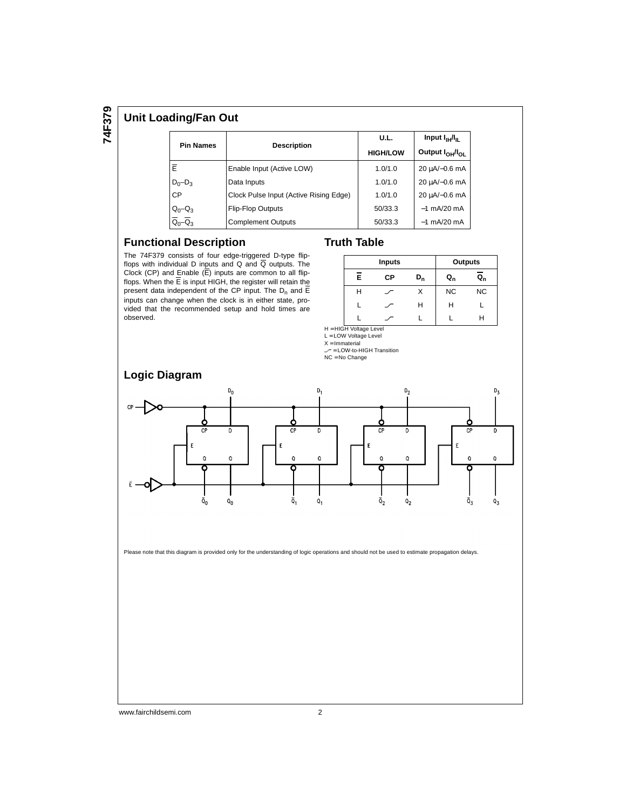#### **Unit Loading/Fan Out**

|                                              |                                        | U.L.            | Input I <sub>H</sub> H                                                        |  |
|----------------------------------------------|----------------------------------------|-----------------|-------------------------------------------------------------------------------|--|
| <b>Pin Names</b>                             | <b>Description</b>                     | <b>HIGH/LOW</b> | Output $I_{OH}$ / $I_{OH}$<br>20 µA/-0.6 mA<br>20 µA/-0.6 mA<br>20 uA/-0.6 mA |  |
| Ē                                            | Enable Input (Active LOW)              | 1.0/1.0         |                                                                               |  |
| $D_0 - D_3$                                  | Data Inputs                            | 1.0/1.0         |                                                                               |  |
| <b>CP</b>                                    | Clock Pulse Input (Active Rising Edge) | 1.0/1.0         |                                                                               |  |
|                                              | <b>Flip-Flop Outputs</b>               | 50/33.3         | $-1$ mA/20 mA                                                                 |  |
| $Q_0-Q_3$<br>$\overline{Q}_0-\overline{Q}_3$ | <b>Complement Outputs</b>              | 50/33.3         | $-1$ mA/20 mA                                                                 |  |

#### **Functional Description**

The 74F379 consists of four edge-triggered D-type flipflops with individual D inputs and Q and  $\overline{Q}$  outputs. The Clock (CP) and Enable (E) inputs are common to all flipflops. When the E is input HIGH, the register will retain the present data independent of the CP input. The  $D_n$  and E inputs can change when the clock is in either state, provided that the recommended setup and hold times are observed.

| <b>Truth Table</b> |  |
|--------------------|--|
|                    |  |

|   | <b>Inputs</b> |       | Outputs   |           |
|---|---------------|-------|-----------|-----------|
| Ē | СP            | $D_n$ | Q,        | $Q_{n}$   |
| н |               | х     | <b>NC</b> | <b>NC</b> |
|   |               | Н     | Н         |           |
|   |               |       |           |           |

H = HIGH Voltage Level

L = LOW Voltage Level  $X = Immaterial$ 

∠ = LOW-to-HIGH Transition<br>NC = No Change



Please note that this diagram is provided only for the understanding of logic operations and should not be used to estimate propagation delays.

www.fairchildsemi.com 2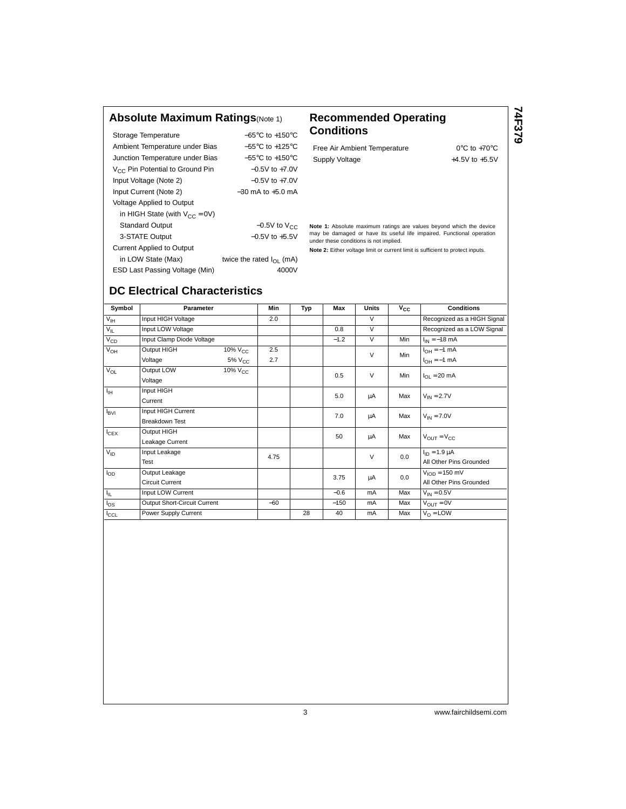### **Absolute Maximum Ratings**(Note 1) **Recommended Operating**

| Storage Temperature                         | $-65^{\circ}$ C to $+150^{\circ}$ C  |
|---------------------------------------------|--------------------------------------|
|                                             |                                      |
| Ambient Temperature under Bias              | $-55^{\circ}$ C to $+125^{\circ}$ C  |
| Junction Temperature under Bias             | $-55^{\circ}$ C to $+150^{\circ}$ C  |
| V <sub>CC</sub> Pin Potential to Ground Pin | $-0.5V$ to $+7.0V$                   |
| Input Voltage (Note 2)                      | $-0.5V$ to $+7.0V$                   |
| Input Current (Note 2)                      | $-30$ mA to $+5.0$ mA                |
| Voltage Applied to Output                   |                                      |
| in HIGH State (with $V_{CC} = 0V$ )         |                                      |
| <b>Standard Output</b>                      | $-0.5V$ to $V_{CC}$                  |
| 3-STATE Output                              | $-0.5V$ to $+5.5V$                   |
| <b>Current Applied to Output</b>            |                                      |
| in LOW State (Max)                          | twice the rated $I_{\text{OL}}$ (mA) |
| ESD Last Passing Voltage (Min)              | 4000V                                |

# **Conditions**

Free Air Ambient Temperature 0°C to +70°C Supply Voltage  $+4.5V$  to  $+5.5V$  **74F379**

**Note 1:** Absolute maximum ratings are values beyond which the device may be damaged or have its useful life impaired. Functional operation under these conditions is not implied.

**Note 2:** Either voltage limit or current limit is sufficient to protect inputs.

## **DC Electrical Characteristics**

| Symbol          | Parameter                    |                 | Min   | Typ | Max    | <b>Units</b> | $v_{\rm cc}$ | <b>Conditions</b>                |
|-----------------|------------------------------|-----------------|-------|-----|--------|--------------|--------------|----------------------------------|
| $V_{\text{IH}}$ | Input HIGH Voltage           |                 | 2.0   |     |        | $\vee$       |              | Recognized as a HIGH Signal      |
| $V_{IL}$        | Input LOW Voltage            |                 |       |     | 0.8    | $\vee$       |              | Recognized as a LOW Signal       |
| $V_{CD}$        | Input Clamp Diode Voltage    |                 |       |     | $-1.2$ | $\vee$       | Min          | $I_{IN} = -18$ mA                |
| $V_{OH}$        | Output HIGH                  | $10\%$ $V_{CC}$ | 2.5   |     |        | $\vee$       | Min          | $I_{OH} = -1$ mA                 |
|                 | Voltage                      | $5\%$ $V_{CC}$  | 2.7   |     |        |              |              | $I_{OH} = -1$ mA                 |
| $V_{OL}$        | Output LOW                   | $10\%$ $V_{CC}$ |       |     | 0.5    | $\vee$       | Min          | $I_{OL}$ = 20 mA                 |
|                 | Voltage                      |                 |       |     |        |              |              |                                  |
| $I_{\rm IH}$    | Input HIGH                   |                 |       |     | 5.0    | μA           | Max          | $V_{IN} = 2.7V$                  |
|                 | Current                      |                 |       |     |        |              |              |                                  |
| $I_{\rm BVI}$   | Input HIGH Current           |                 |       |     | 7.0    | μA           | Max          | $V_{IN} = 7.0V$                  |
|                 | <b>Breakdown Test</b>        |                 |       |     |        |              |              |                                  |
| $I_{CEX}$       | Output HIGH                  |                 |       |     | 50     |              | Max          |                                  |
|                 | Leakage Current              |                 |       |     |        | μA           |              | $V_{\text{OUT}} = V_{\text{CC}}$ |
| $V_{ID}$        | Input Leakage                |                 | 4.75  |     |        | $\vee$       | 0.0          | $I_{ID} = 1.9 \mu A$             |
|                 | Test                         |                 |       |     |        |              |              | All Other Pins Grounded          |
| $I_{OD}$        | Output Leakage               |                 |       |     | 3.75   | μA           | 0.0          | $VION = 150$ mV                  |
|                 | <b>Circuit Current</b>       |                 |       |     |        |              |              | All Other Pins Grounded          |
| $I_{\rm IL}$    | Input LOW Current            |                 |       |     | $-0.6$ | mA           | Max          | $V_{IN} = 0.5V$                  |
| $I_{OS}$        | Output Short-Circuit Current |                 | $-60$ |     | $-150$ | mA           | Max          | $V_{OIIT} = 0V$                  |
| $I_{CCL}$       | Power Supply Current         |                 |       | 28  | 40     | mA           | Max          | $V_{\Omega}$ = LOW               |

3 www.fairchildsemi.com